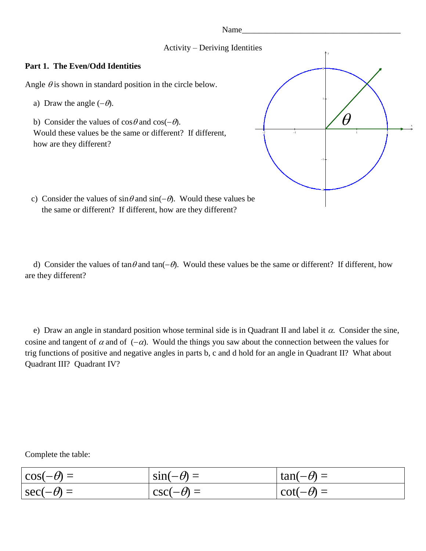Name\_

## Activity – Deriving Identities

## **Part 1. The Even/Odd Identities**

Angle  $\theta$  is shown in standard position in the circle below.

- a) Draw the angle  $(-\theta)$ .
- b) Consider the values of  $\cos \theta$  and  $\cos(-\theta)$ . Would these values be the same or different? If different, how are they different?



c) Consider the values of  $\sin \theta$  and  $\sin(-\theta)$ . Would these values be the same or different? If different, how are they different?

d) Consider the values of tan $\theta$  and tan( $-\theta$ ). Would these values be the same or different? If different, how are they different?

e) Draw an angle in standard position whose terminal side is in Quadrant II and label it  $\alpha$ . Consider the sine, cosine and tangent of  $\alpha$  and of  $(-\alpha)$ . Would the things you saw about the connection between the values for trig functions of positive and negative angles in parts b, c and d hold for an angle in Quadrant II? What about Quadrant III? Quadrant IV?

Complete the table:

| $\cos(-\theta) =$ | $\sin(-\theta) =$ | $\tan(-\theta) =$ |
|-------------------|-------------------|-------------------|
| $\sec(-\theta) =$ | $\csc(-\theta) =$ | $\cot(-\theta) =$ |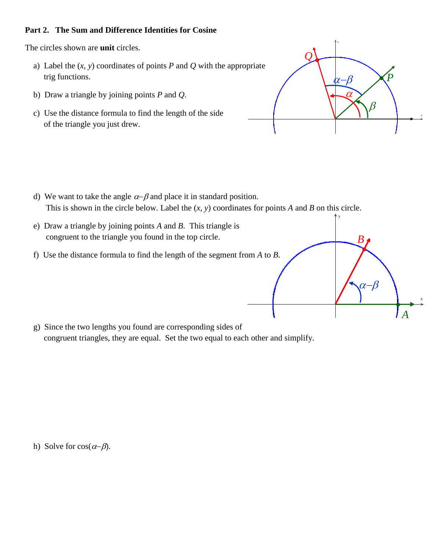# **Part 2. The Sum and Difference Identities for Cosine**

The circles shown are **unit** circles.

- a) Label the  $(x, y)$  coordinates of points  $P$  and  $Q$  with the appropriate trig functions.
- b) Draw a triangle by joining points *P* and *Q*.
- c) Use the distance formula to find the length of the side of the triangle you just drew.



y

ß

*B*

x

*A*

- d) We want to take the angle  $\alpha$ - $\beta$  and place it in standard position. This is shown in the circle below. Label the (*x*, *y*) coordinates for points *A* and *B* on this circle.
- e) Draw a triangle by joining points *A* and *B*. This triangle is congruent to the triangle you found in the top circle.
- f) Use the distance formula to find the length of the segment from *A* to *B*.

 g) Since the two lengths you found are corresponding sides of congruent triangles, they are equal. Set the two equal to each other and simplify.

h) Solve for  $cos(\alpha-\beta)$ .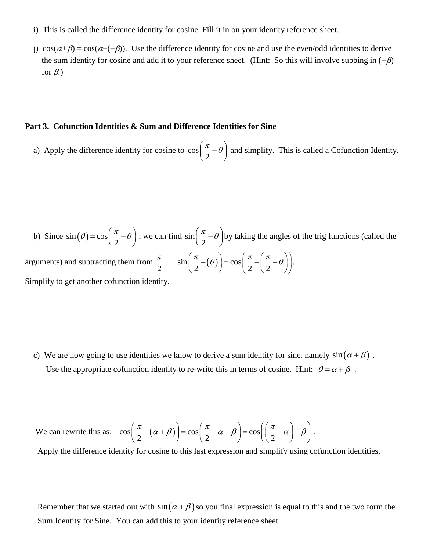- i) This is called the difference identity for cosine. Fill it in on your identity reference sheet.
- j)  $\cos(\alpha+\beta) = \cos(\alpha-(-\beta))$ . Use the difference identity for cosine and use the even/odd identities to derive the sum identity for cosine and add it to your reference sheet. (Hint: So this will involve subbing in  $(-\beta)$ for  $\beta$ .)

#### **Part 3. Cofunction Identities & Sum and Difference Identities for Sine**

 a) Apply the difference identity for cosine to cos 2  $\left(\frac{\pi}{2}-\theta\right)$ and simplify. This is called a Cofunction Identity.

b) Since  $sin(\theta) = cos$ 2  $\theta$ ) = cos  $\left(\frac{\pi}{2} - \theta\right)$ , we can find sin 2  $\left(\frac{\pi}{2}-\theta\right)$ t by taking the angles of the trig functions (called the arguments) and subtracting them from 2 π  $\sin\left(\frac{\pi}{2} - (\theta)\right) = \cos\theta$  $\left(\frac{\pi}{2} - (\theta)\right) = \cos\left(\frac{\pi}{2} - \left(\frac{\pi}{2}\right)\right)$  $\left(\frac{\pi}{2} - (\theta)\right) = \cos\left(\frac{\pi}{2} - \left(\frac{\pi}{2} - \theta\right)\right).$ . Simplify to get another cofunction identity.

c) We are now going to use identities we know to derive a sum identity for sine, namely  $sin(\alpha + \beta)$ . Use the appropriate cofunction identity to re-write this in terms of cosine. Hint:  $\theta = \alpha + \beta$ .

We can rewrite this as:  $\cos\left(\frac{\pi}{2} - (\alpha + \beta)\right) = \cos\left(\frac{\pi}{2} - \alpha - \beta\right) = \cos\left(\frac{\pi}{2} - \alpha\right)$  $\left(\frac{\pi}{2} - (\alpha + \beta)\right) = \cos\left(\frac{\pi}{2} - \alpha - \beta\right) = \cos\left(\left(\frac{\pi}{2} - \alpha\right) - \beta\right).$ .

Apply the difference identity for cosine to this last expression and simplify using cofunction identities.

Remember that we started out with  $sin(\alpha + \beta)$  so you final expression is equal to this and the two form the Sum Identity for Sine. You can add this to your identity reference sheet.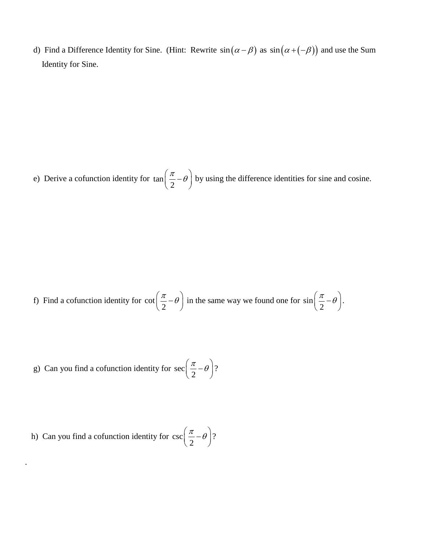d) Find a Difference Identity for Sine. (Hint: Rewrite  $sin(\alpha - \beta)$  as  $sin(\alpha + (-\beta))$  and use the Sum Identity for Sine.

 e) Derive a cofunction identity for tan 2  $\left(\frac{\pi}{2}-\theta\right)$ by using the difference identities for sine and cosine.

 f) Find a cofunction identity for cot 2  $\left(\frac{\pi}{2}-\theta\right)$ in the same way we found one for sin 2  $\left(\frac{\pi}{2}-\theta\right).$ .

 g) Can you find a cofunction identity for sec 2  $\left(\frac{\pi}{2}-\theta\right)$ ? ?

h) Can you find a cofunction identity for 
$$
\csc\left(\frac{\pi}{2} - \theta\right)
$$
?

.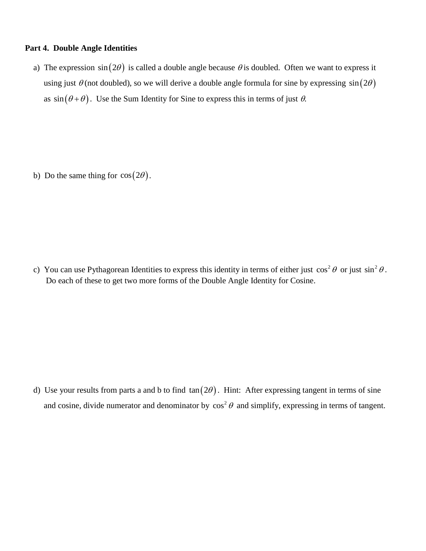#### **Part 4. Double Angle Identities**

a) The expression  $sin(2\theta)$  is called a double angle because  $\theta$  is doubled. Often we want to express it using just  $\theta$  (not doubled), so we will derive a double angle formula for sine by expressing  $sin(2\theta)$ as  $\sin(\theta + \theta)$ . Use the Sum Identity for Sine to express this in terms of just  $\theta$ .

b) Do the same thing for  $cos(2\theta)$ .

c) You can use Pythagorean Identities to express this identity in terms of either just  $\cos^2 \theta$  or just  $\sin^2 \theta$ . Do each of these to get two more forms of the Double Angle Identity for Cosine.

d) Use your results from parts a and b to find  $tan(2\theta)$ . Hint: After expressing tangent in terms of sine and cosine, divide numerator and denominator by  $\cos^2 \theta$  and simplify, expressing in terms of tangent.